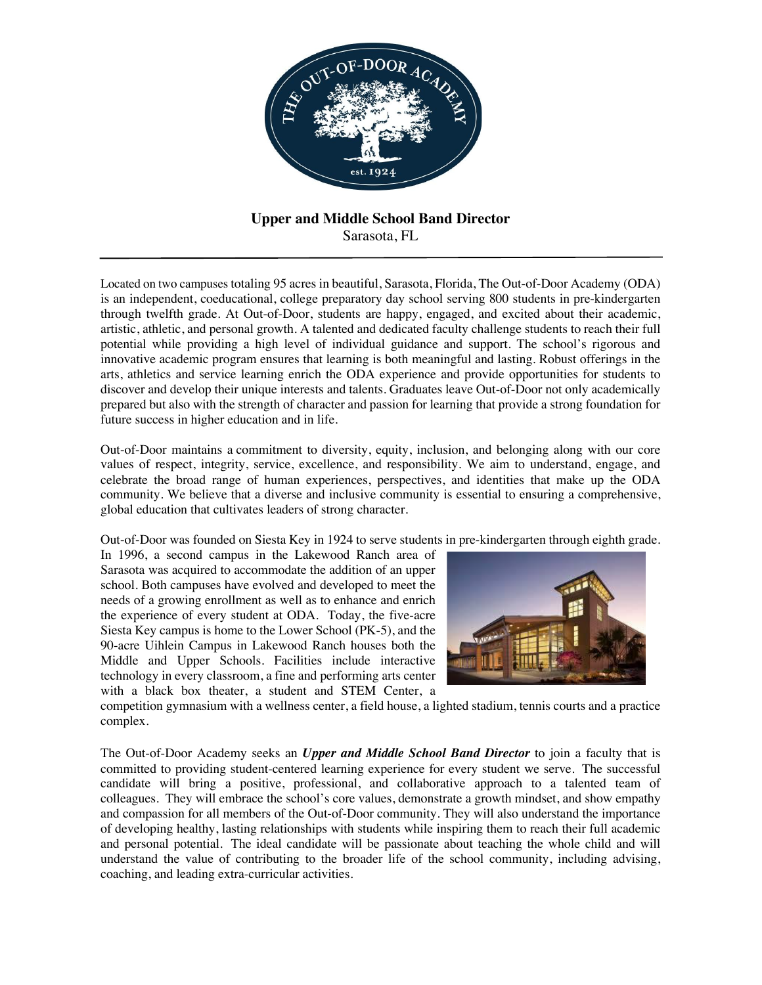

# **Upper and Middle School Band Director** Sarasota, FL

Located on two campuses totaling 95 acres in beautiful, Sarasota, Florida, The Out-of-Door Academy (ODA) is an independent, coeducational, college preparatory day school serving 800 students in pre-kindergarten through twelfth grade. At Out-of-Door, students are happy, engaged, and excited about their academic, artistic, athletic, and personal growth. A talented and dedicated faculty challenge students to reach their full potential while providing a high level of individual guidance and support. The school's rigorous and innovative academic program ensures that learning is both meaningful and lasting. Robust offerings in the arts, athletics and service learning enrich the ODA experience and provide opportunities for students to discover and develop their unique interests and talents. Graduates leave Out-of-Door not only academically prepared but also with the strength of character and passion for learning that provide a strong foundation for future success in higher education and in life.

Out-of-Door maintains a commitment to diversity, equity, inclusion, and belonging along with our core values of respect, integrity, service, excellence, and responsibility. We aim to understand, engage, and celebrate the broad range of human experiences, perspectives, and identities that make up the ODA community. We believe that a diverse and inclusive community is essential to ensuring a comprehensive, global education that cultivates leaders of strong character.

Out-of-Door was founded on Siesta Key in 1924 to serve students in pre-kindergarten through eighth grade.

In 1996, a second campus in the Lakewood Ranch area of Sarasota was acquired to accommodate the addition of an upper school. Both campuses have evolved and developed to meet the needs of a growing enrollment as well as to enhance and enrich the experience of every student at ODA. Today, the five-acre Siesta Key campus is home to the Lower School (PK-5), and the 90-acre Uihlein Campus in Lakewood Ranch houses both the Middle and Upper Schools. Facilities include interactive technology in every classroom, a fine and performing arts center with a black box theater, a student and STEM Center, a



competition gymnasium with a wellness center, a field house, a lighted stadium, tennis courts and a practice complex.

The Out-of-Door Academy seeks an *Upper and Middle School Band Director* to join a faculty that is committed to providing student-centered learning experience for every student we serve. The successful candidate will bring a positive, professional, and collaborative approach to a talented team of colleagues. They will embrace the school's core values, demonstrate a growth mindset, and show empathy and compassion for all members of the Out-of-Door community. They will also understand the importance of developing healthy, lasting relationships with students while inspiring them to reach their full academic and personal potential. The ideal candidate will be passionate about teaching the whole child and will understand the value of contributing to the broader life of the school community, including advising, coaching, and leading extra-curricular activities.